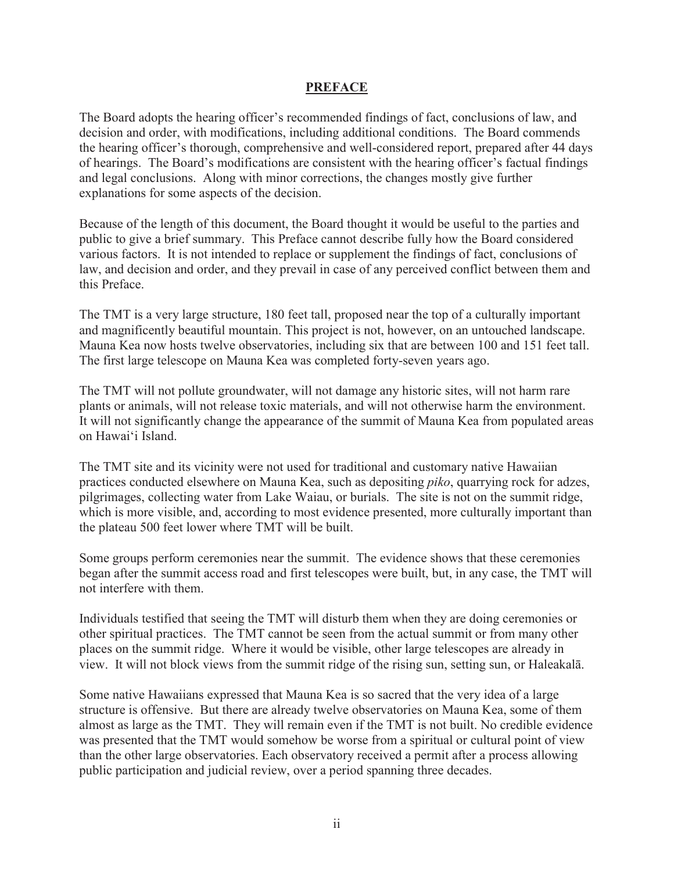## **PREFACE**

The Board adopts the hearing officer's recommended findings of fact, conclusions of law, and decision and order, with modifications, including additional conditions. The Board commends the hearing officer's thorough, comprehensive and well-considered report, prepared after 44 days of hearings. The Board's modifications are consistent with the hearing officer's factual findings and legal conclusions. Along with minor corrections, the changes mostly give further explanations for some aspects of the decision.

Because of the length of this document, the Board thought it would be useful to the parties and public to give a brief summary. This Preface cannot describe fully how the Board considered various factors. It is not intended to replace or supplement the findings of fact, conclusions of law, and decision and order, and they prevail in case of any perceived conflict between them and this Preface.

The TMT is a very large structure, 180 feet tall, proposed near the top of a culturally important and magnificently beautiful mountain. This project is not, however, on an untouched landscape. Mauna Kea now hosts twelve observatories, including six that are between 100 and 151 feet tall. The first large telescope on Mauna Kea was completed forty-seven years ago.

The TMT will not pollute groundwater, will not damage any historic sites, will not harm rare plants or animals, will not release toxic materials, and will not otherwise harm the environment. It will not significantly change the appearance of the summit of Mauna Kea from populated areas on Hawai'i Island.

The TMT site and its vicinity were not used for traditional and customary native Hawaiian practices conducted elsewhere on Mauna Kea, such as depositing *piko*, quarrying rock for adzes, pilgrimages, collecting water from Lake Waiau, or burials. The site is not on the summit ridge, which is more visible, and, according to most evidence presented, more culturally important than the plateau 500 feet lower where TMT will be built.

Some groups perform ceremonies near the summit. The evidence shows that these ceremonies began after the summit access road and first telescopes were built, but, in any case, the TMT will not interfere with them.

Individuals testified that seeing the TMT will disturb them when they are doing ceremonies or other spiritual practices. The TMT cannot be seen from the actual summit or from many other places on the summit ridge. Where it would be visible, other large telescopes are already in view. It will not block views from the summit ridge of the rising sun, setting sun, or Haleakalā.

Some native Hawaiians expressed that Mauna Kea is so sacred that the very idea of a large structure is offensive. But there are already twelve observatories on Mauna Kea, some of them almost as large as the TMT. They will remain even if the TMT is not built. No credible evidence was presented that the TMT would somehow be worse from a spiritual or cultural point of view than the other large observatories. Each observatory received a permit after a process allowing public participation and judicial review, over a period spanning three decades.